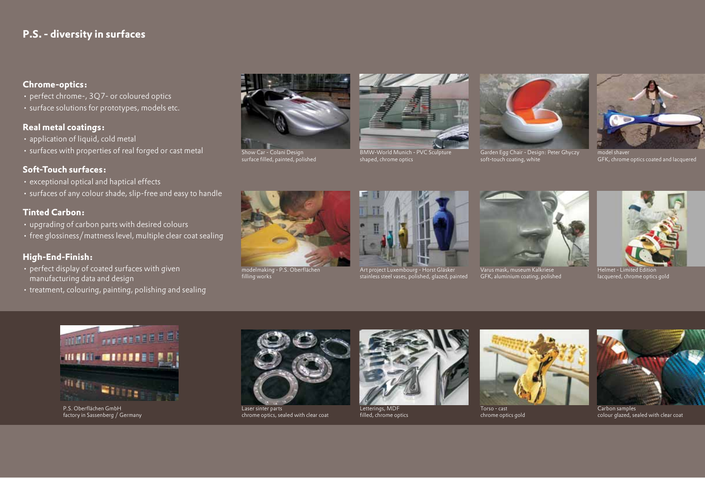## **P.S. - diversity in surfaces**

## **Chrome-optics:**

- perfect chrome-, 3Q7- or coloured optics
- • surface solutions for prototypes, models etc.

## **Real metal coatings:**

- application of liquid, cold metal
- • surfaces with properties of real forged or cast metal

## **Soft-Touch surfaces:**

- exceptional optical and haptical effects
- surfaces of any colour shade, slip-free and easy to handle

## **Tinted Carbon:**

- • upgrading of carbon parts with desired colours
- free glossiness/mattness level, multiple clear coat sealing

## **High-End-Finish:**

- perfect display of coated surfaces with given manufacturing data and design
- treatment, colouring, painting, polishing and sealing



Show Car - Colani Design surface filled, painted, polished



BMW-World Munich - PVC So shaped, chrome optics



Garden Egg Chair - Design: Peter Ghyczy soft-touch coating, white



model shaver GFK, chrome optics coated and lacquered



modelmaking - P.S. Oberflächen filling works



Art project Luxembourg - Horst Gläsker stainless steel vases, polished, glazed, painted



GFK, aluminium coating, polished



Helmet - Limited Edition lacquered, chrome optics gold



P.S. Oberflächen GmbH factory in Sassenberg / Germany



Laser sinter parts chrome optics, sealed with clear coat



Letterings, MDF filled, chrome optics



Torso - cast chrome optics gold



Carbon samples colour glazed, sealed with clear coat